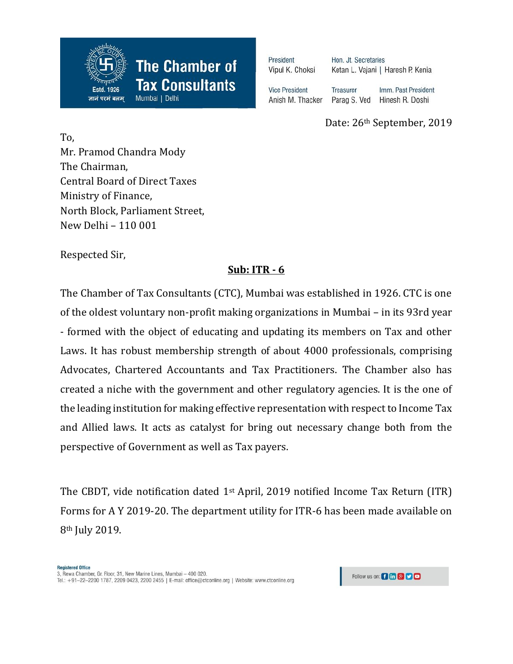

| President<br>Vipul K. Choksi | Hon. Jt. Secretaries<br>Ketan L. Vajani   Haresh P. Kenia |                     |
|------------------------------|-----------------------------------------------------------|---------------------|
| <b>Vice President</b>        | <b>Treasurer</b>                                          | Imm. Past President |
| Anish M. Thacker             | Parag S. Ved                                              | Hinesh R. Doshi     |

Date: 26th September, 2019

To, Mr. Pramod Chandra Mody The Chairman, Central Board of Direct Taxes Ministry of Finance, North Block, Parliament Street, New Delhi – 110 001

Respected Sir,

## **Sub: ITR - 6**

The Chamber of Tax Consultants (CTC), Mumbai was established in 1926. CTC is one of the oldest voluntary non-profit making organizations in Mumbai – in its 93rd year - formed with the object of educating and updating its members on Tax and other Laws. It has robust membership strength of about 4000 professionals, comprising Advocates, Chartered Accountants and Tax Practitioners. The Chamber also has created a niche with the government and other regulatory agencies. It is the one of the leading institution for making effective representation with respect to Income Tax and Allied laws. It acts as catalyst for bring out necessary change both from the perspective of Government as well as Tax payers.

The CBDT, vide notification dated 1<sup>st</sup> April, 2019 notified Income Tax Return (ITR) Forms for A Y 2019-20. The department utility for ITR-6 has been made available on 8th July 2019.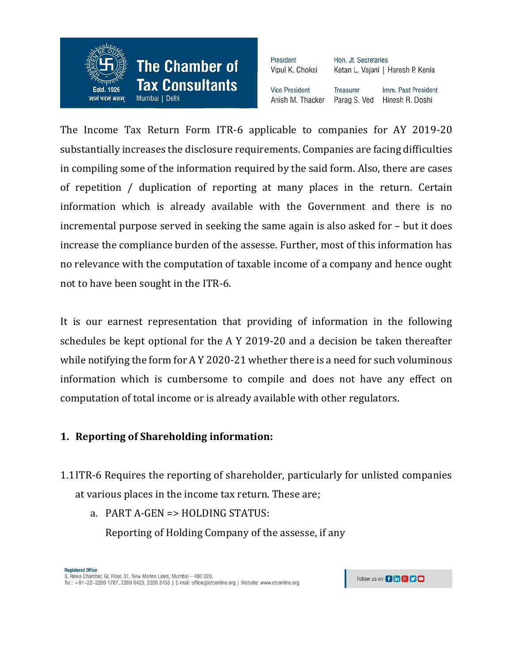

President Hon. Jt. Secretaries Vipul K. Choksi Ketan L. Vajani | Haresh P. Kenia **Vice President** Treasurer Imm. Past President Anish M. Thacker Parag S. Ved Hinesh R. Doshi

The Income Tax Return Form ITR-6 applicable to companies for AY 2019-20 substantially increases the disclosure requirements. Companies are facing difficulties in compiling some of the information required by the said form. Also, there are cases of repetition / duplication of reporting at many places in the return. Certain information which is already available with the Government and there is no incremental purpose served in seeking the same again is also asked for – but it does increase the compliance burden of the assesse. Further, most of this information has no relevance with the computation of taxable income of a company and hence ought not to have been sought in the ITR-6.

It is our earnest representation that providing of information in the following schedules be kept optional for the A Y 2019-20 and a decision be taken thereafter while notifying the form for A Y 2020-21 whether there is a need for such voluminous information which is cumbersome to compile and does not have any effect on computation of total income or is already available with other regulators.

#### **1. Reporting of Shareholding information:**

1.1ITR-6 Requires the reporting of shareholder, particularly for unlisted companies at various places in the income tax return. These are;

a. PART A-GEN => HOLDING STATUS:

Reporting of Holding Company of the assesse, if any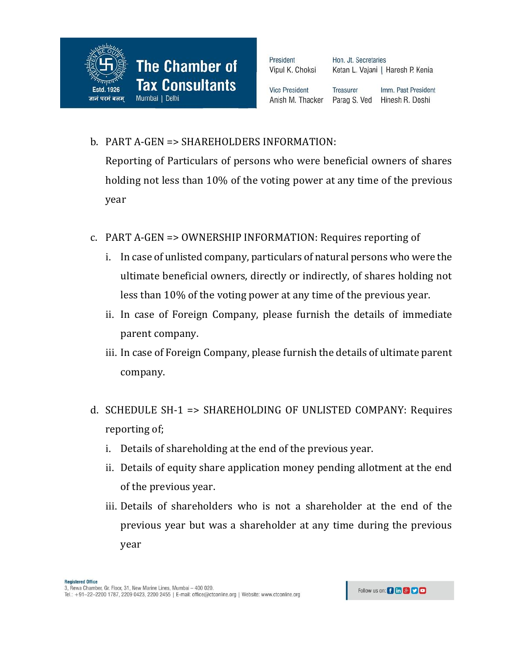

Hon. Jt. Secretaries Ketan L. Vajani | Haresh P. Kenia

**Vice President** Anish M. Thacker

Imm. Past President **Treasurer** Parag S. Ved Hinesh R. Doshi

b. PART A-GEN => SHAREHOLDERS INFORMATION:

Reporting of Particulars of persons who were beneficial owners of shares holding not less than 10% of the voting power at any time of the previous year

- c. PART A-GEN => OWNERSHIP INFORMATION: Requires reporting of
	- i. In case of unlisted company, particulars of natural persons who were the ultimate beneficial owners, directly or indirectly, of shares holding not less than 10% of the voting power at any time of the previous year.
	- ii. In case of Foreign Company, please furnish the details of immediate parent company.
	- iii. In case of Foreign Company, please furnish the details of ultimate parent company.
- d. SCHEDULE SH-1 => SHAREHOLDING OF UNLISTED COMPANY: Requires reporting of;
	- i. Details of shareholding at the end of the previous year.
	- ii. Details of equity share application money pending allotment at the end of the previous year.
	- iii. Details of shareholders who is not a shareholder at the end of the previous year but was a shareholder at any time during the previous year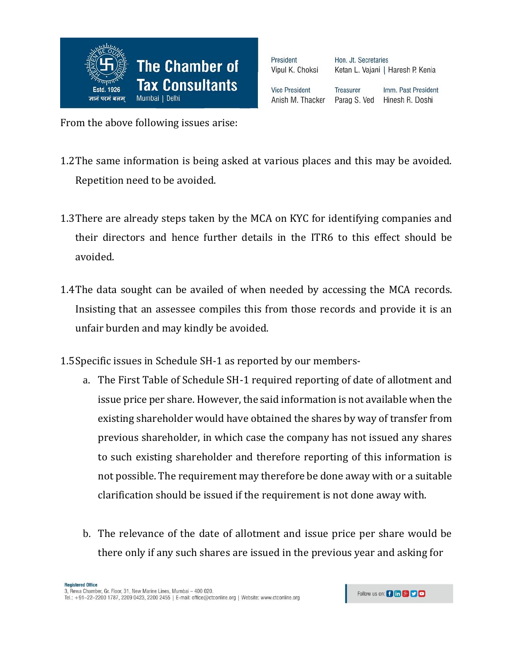

Hon. Jt. Secretaries Ketan L. Vajani | Haresh P. Kenia

**Vice President** Anish M. Thacker

**Treasurer** Imm. Past President Parag S. Ved Hinesh R. Doshi

From the above following issues arise:

- 1.2The same information is being asked at various places and this may be avoided. Repetition need to be avoided.
- 1.3There are already steps taken by the MCA on KYC for identifying companies and their directors and hence further details in the ITR6 to this effect should be avoided.
- 1.4The data sought can be availed of when needed by accessing the MCA records. Insisting that an assessee compiles this from those records and provide it is an unfair burden and may kindly be avoided.
- 1.5Specific issues in Schedule SH-1 as reported by our members
	- a. The First Table of Schedule SH-1 required reporting of date of allotment and issue price per share. However, the said information is not available when the existing shareholder would have obtained the shares by way of transfer from previous shareholder, in which case the company has not issued any shares to such existing shareholder and therefore reporting of this information is not possible. The requirement may therefore be done away with or a suitable clarification should be issued if the requirement is not done away with.
	- b. The relevance of the date of allotment and issue price per share would be there only if any such shares are issued in the previous year and asking for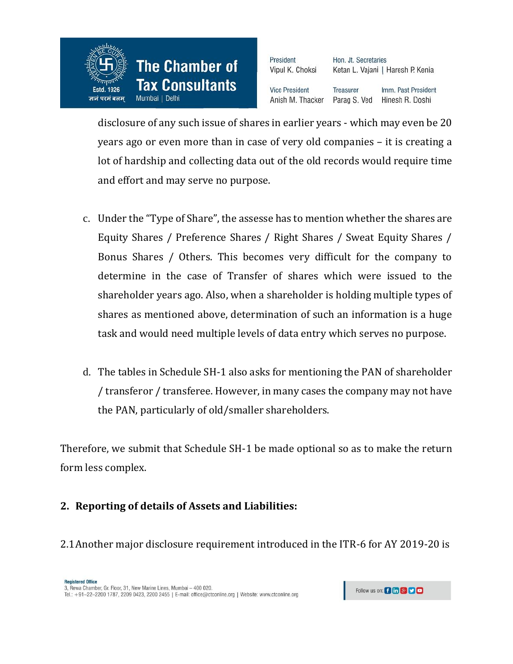

Hon. Jt. Secretaries Ketan L. Vajani | Haresh P. Kenia

**Vice President** Anish M. Thacker

Imm. Past President Treasurer Parag S. Ved Hinesh R. Doshi

disclosure of any such issue of shares in earlier years - which may even be 20 years ago or even more than in case of very old companies – it is creating a lot of hardship and collecting data out of the old records would require time and effort and may serve no purpose.

- c. Under the "Type of Share", the assesse has to mention whether the shares are Equity Shares / Preference Shares / Right Shares / Sweat Equity Shares / Bonus Shares / Others. This becomes very difficult for the company to determine in the case of Transfer of shares which were issued to the shareholder years ago. Also, when a shareholder is holding multiple types of shares as mentioned above, determination of such an information is a huge task and would need multiple levels of data entry which serves no purpose.
- d. The tables in Schedule SH-1 also asks for mentioning the PAN of shareholder / transferor / transferee. However, in many cases the company may not have the PAN, particularly of old/smaller shareholders.

Therefore, we submit that Schedule SH-1 be made optional so as to make the return form less complex.

### **2. Reporting of details of Assets and Liabilities:**

2.1Another major disclosure requirement introduced in the ITR-6 for AY 2019-20 is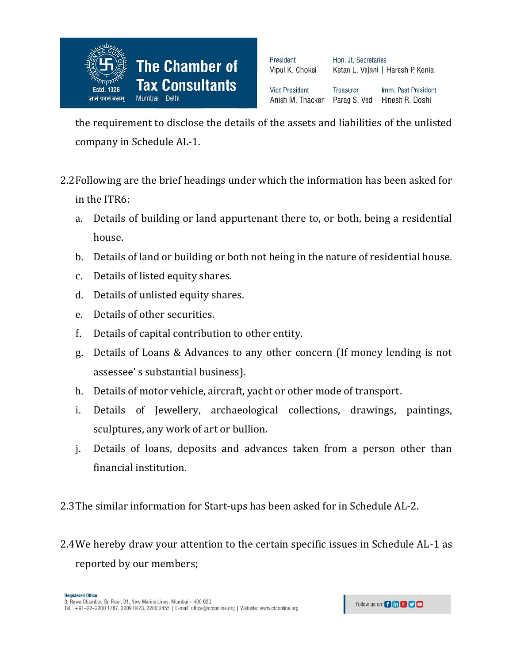

Hon. Jt. Secretaries Ketan L. Vajani | Haresh P. Kenia

**Vice President** Anish M. Thacker

Treasurer Imm. Past President Parag S. Ved Hinesh R. Doshi

the requirement to disclose the details of the assets and liabilities of the unlisted company in Schedule AL-1.

- 2.2Following are the brief headings under which the information has been asked for in the ITR6:
	- a. Details of building or land appurtenant there to, or both, being a residential house.
	- b. Details of land or building or both not being in the nature of residential house.
	- c. Details of listed equity shares.
	- d. Details of unlisted equity shares.
	- e. Details of other securities.
	- f. Details of capital contribution to other entity.
	- g. Details of Loans & Advances to any other concern (If money lending is not assessee' s substantial business).
	- h. Details of motor vehicle, aircraft, yacht or other mode of transport.
	- i. Details of Jewellery, archaeological collections, drawings, paintings, sculptures, any work of art or bullion.
	- j. Details of loans, deposits and advances taken from a person other than financial institution.

2.3The similar information for Start-ups has been asked for in Schedule AL-2.

2.4We hereby draw your attention to the certain specific issues in Schedule AL-1 as reported by our members;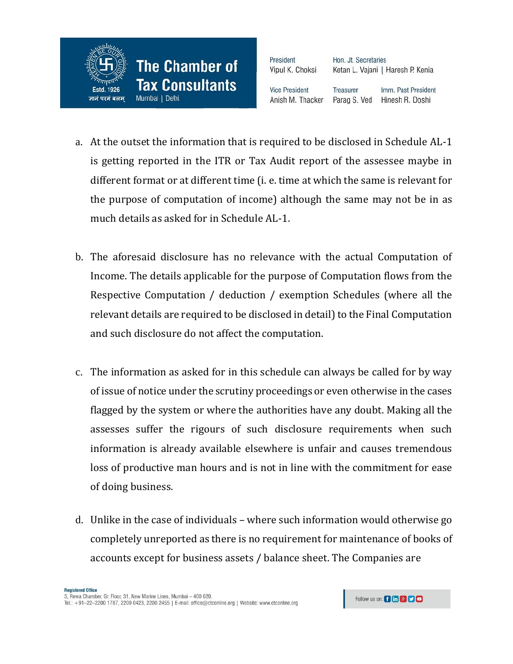

Hon. Jt. Secretaries Ketan L. Vajani | Haresh P. Kenia

**Vice President** Anish M. Thacker **Treasurer** Imm. Past President Parag S. Ved Hinesh R. Doshi

- a. At the outset the information that is required to be disclosed in Schedule AL-1 is getting reported in the ITR or Tax Audit report of the assessee maybe in different format or at different time (i. e. time at which the same is relevant for the purpose of computation of income) although the same may not be in as much details as asked for in Schedule AL-1.
- b. The aforesaid disclosure has no relevance with the actual Computation of Income. The details applicable for the purpose of Computation flows from the Respective Computation / deduction / exemption Schedules (where all the relevant details are required to be disclosed in detail) to the Final Computation and such disclosure do not affect the computation.
- c. The information as asked for in this schedule can always be called for by way of issue of notice under the scrutiny proceedings or even otherwise in the cases flagged by the system or where the authorities have any doubt. Making all the assesses suffer the rigours of such disclosure requirements when such information is already available elsewhere is unfair and causes tremendous loss of productive man hours and is not in line with the commitment for ease of doing business.
- d. Unlike in the case of individuals where such information would otherwise go completely unreported as there is no requirement for maintenance of books of accounts except for business assets / balance sheet. The Companies are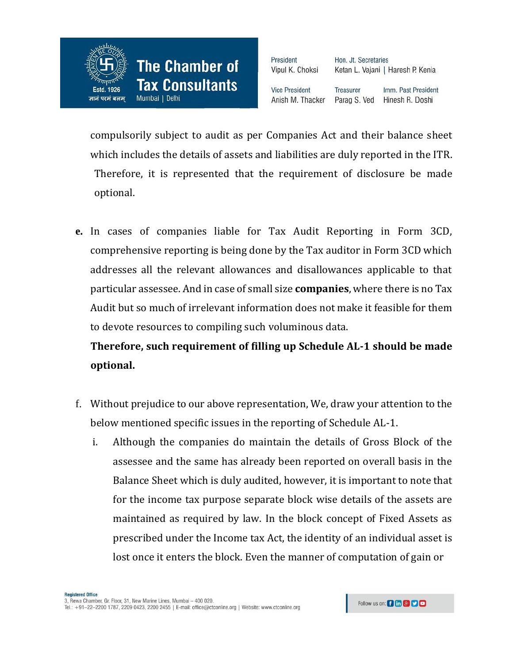

Hon. Jt. Secretaries Ketan L. Vajani | Haresh P. Kenia

**Vice President** Anish M. Thacker

Imm. Past President **Treasurer** Parag S. Ved Hinesh R. Doshi

compulsorily subject to audit as per Companies Act and their balance sheet which includes the details of assets and liabilities are duly reported in the ITR. Therefore, it is represented that the requirement of disclosure be made optional.

**e.** In cases of companies liable for Tax Audit Reporting in Form 3CD, comprehensive reporting is being done by the Tax auditor in Form 3CD which addresses all the relevant allowances and disallowances applicable to that particular assessee. And in case of small size **companies**, where there is no Tax Audit but so much of irrelevant information does not make it feasible for them to devote resources to compiling such voluminous data.

**Therefore, such requirement of filling up Schedule AL-1 should be made optional.**

- f. Without prejudice to our above representation, We, draw your attention to the below mentioned specific issues in the reporting of Schedule AL-1.
	- i. Although the companies do maintain the details of Gross Block of the assessee and the same has already been reported on overall basis in the Balance Sheet which is duly audited, however, it is important to note that for the income tax purpose separate block wise details of the assets are maintained as required by law. In the block concept of Fixed Assets as prescribed under the Income tax Act, the identity of an individual asset is lost once it enters the block. Even the manner of computation of gain or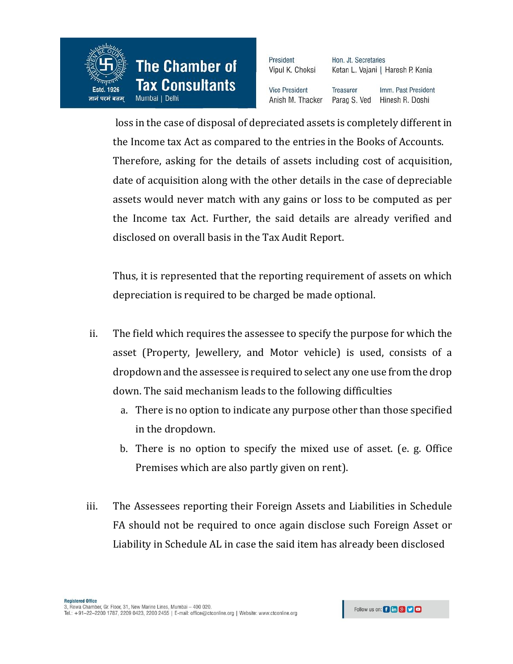

Hon. Jt. Secretaries Ketan L. Vajani | Haresh P. Kenia

**Vice President** Anish M. Thacker

Imm. Past President **Treasurer** Parag S. Ved Hinesh R. Doshi

loss in the case of disposal of depreciated assets is completely different in the Income tax Act as compared to the entries in the Books of Accounts. Therefore, asking for the details of assets including cost of acquisition, date of acquisition along with the other details in the case of depreciable assets would never match with any gains or loss to be computed as per the Income tax Act. Further, the said details are already verified and disclosed on overall basis in the Tax Audit Report.

Thus, it is represented that the reporting requirement of assets on which depreciation is required to be charged be made optional.

- ii. The field which requires the assessee to specify the purpose for which the asset (Property, Jewellery, and Motor vehicle) is used, consists of a dropdown and the assessee is required to select any one use from the drop down. The said mechanism leads to the following difficulties
	- a. There is no option to indicate any purpose other than those specified in the dropdown.
	- b. There is no option to specify the mixed use of asset. (e. g. Office Premises which are also partly given on rent).
- iii. The Assessees reporting their Foreign Assets and Liabilities in Schedule FA should not be required to once again disclose such Foreign Asset or Liability in Schedule AL in case the said item has already been disclosed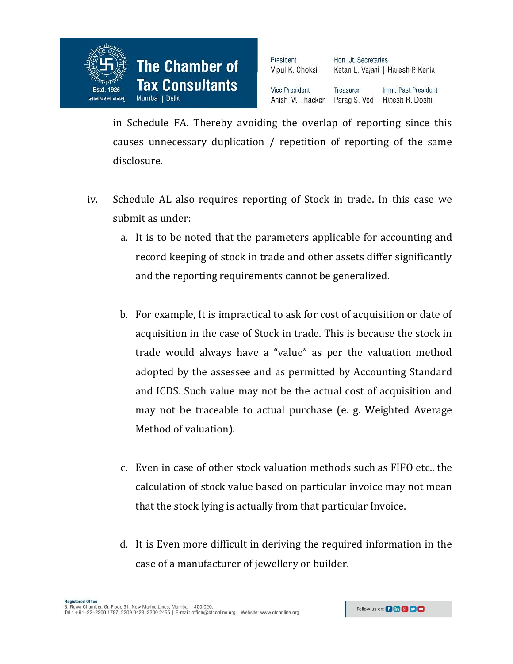

Hon. Jt. Secretaries Ketan L. Vajani | Haresh P. Kenia

**Vice President** Anish M. Thacker **Treasurer** Imm. Past President Parag S. Ved Hinesh R. Doshi

in Schedule FA. Thereby avoiding the overlap of reporting since this causes unnecessary duplication / repetition of reporting of the same disclosure.

- iv. Schedule AL also requires reporting of Stock in trade. In this case we submit as under:
	- a. It is to be noted that the parameters applicable for accounting and record keeping of stock in trade and other assets differ significantly and the reporting requirements cannot be generalized.
	- b. For example, It is impractical to ask for cost of acquisition or date of acquisition in the case of Stock in trade. This is because the stock in trade would always have a "value" as per the valuation method adopted by the assessee and as permitted by Accounting Standard and ICDS. Such value may not be the actual cost of acquisition and may not be traceable to actual purchase (e. g. Weighted Average Method of valuation).
	- c. Even in case of other stock valuation methods such as FIFO etc., the calculation of stock value based on particular invoice may not mean that the stock lying is actually from that particular Invoice.
	- d. It is Even more difficult in deriving the required information in the case of a manufacturer of jewellery or builder.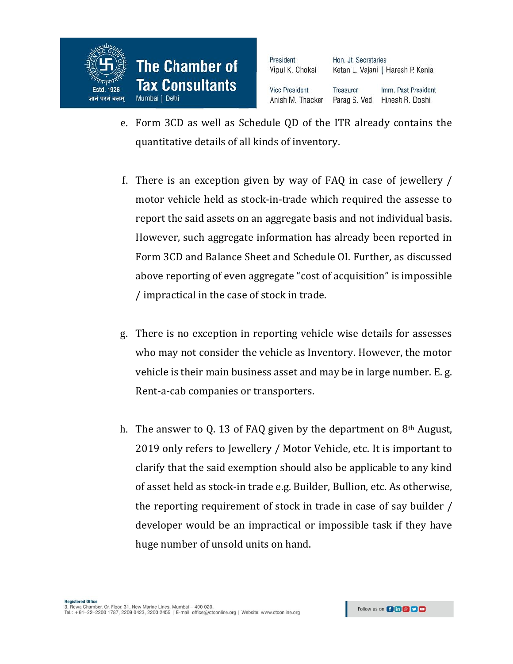

Hon. Jt. Secretaries Ketan L. Vajani | Haresh P. Kenia

**Vice President** Anish M. Thacker **Treasurer** Imm. Past President Parag S. Ved Hinesh R. Doshi

- e. Form 3CD as well as Schedule QD of the ITR already contains the quantitative details of all kinds of inventory.
- f. There is an exception given by way of FAQ in case of jewellery / motor vehicle held as stock-in-trade which required the assesse to report the said assets on an aggregate basis and not individual basis. However, such aggregate information has already been reported in Form 3CD and Balance Sheet and Schedule OI. Further, as discussed above reporting of even aggregate "cost of acquisition" is impossible / impractical in the case of stock in trade.
- g. There is no exception in reporting vehicle wise details for assesses who may not consider the vehicle as Inventory. However, the motor vehicle is their main business asset and may be in large number. E. g. Rent-a-cab companies or transporters.
- h. The answer to Q. 13 of FAQ given by the department on 8th August, 2019 only refers to Jewellery / Motor Vehicle, etc. It is important to clarify that the said exemption should also be applicable to any kind of asset held as stock-in trade e.g. Builder, Bullion, etc. As otherwise, the reporting requirement of stock in trade in case of say builder / developer would be an impractical or impossible task if they have huge number of unsold units on hand.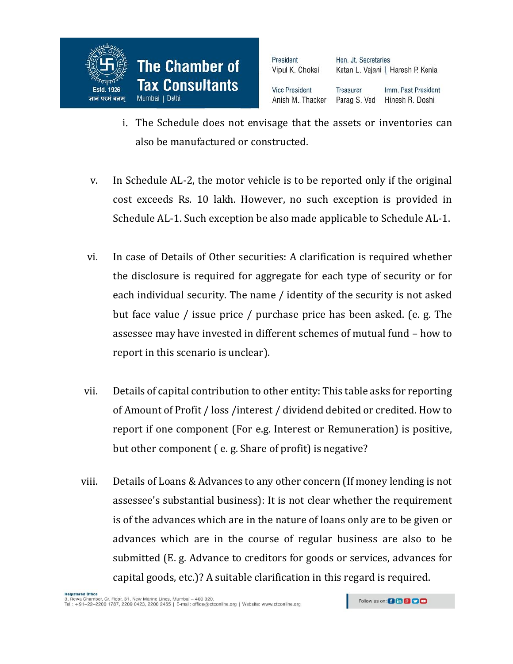

Hon. Jt. Secretaries Ketan L. Vajani | Haresh P. Kenia

**Vice President** Anish M. Thacker

Imm. Past President Treasurer Parag S. Ved Hinesh R. Doshi

- i. The Schedule does not envisage that the assets or inventories can also be manufactured or constructed.
- v. In Schedule AL-2, the motor vehicle is to be reported only if the original cost exceeds Rs. 10 lakh. However, no such exception is provided in Schedule AL-1. Such exception be also made applicable to Schedule AL-1.
- vi. In case of Details of Other securities: A clarification is required whether the disclosure is required for aggregate for each type of security or for each individual security. The name / identity of the security is not asked but face value / issue price / purchase price has been asked. (e. g. The assessee may have invested in different schemes of mutual fund – how to report in this scenario is unclear).
- vii. Details of capital contribution to other entity: This table asks for reporting of Amount of Profit / loss /interest / dividend debited or credited. How to report if one component (For e.g. Interest or Remuneration) is positive, but other component ( e. g. Share of profit) is negative?
- viii. Details of Loans & Advances to any other concern (If money lending is not assessee's substantial business): It is not clear whether the requirement is of the advances which are in the nature of loans only are to be given or advances which are in the course of regular business are also to be submitted (E. g. Advance to creditors for goods or services, advances for capital goods, etc.)? A suitable clarification in this regard is required.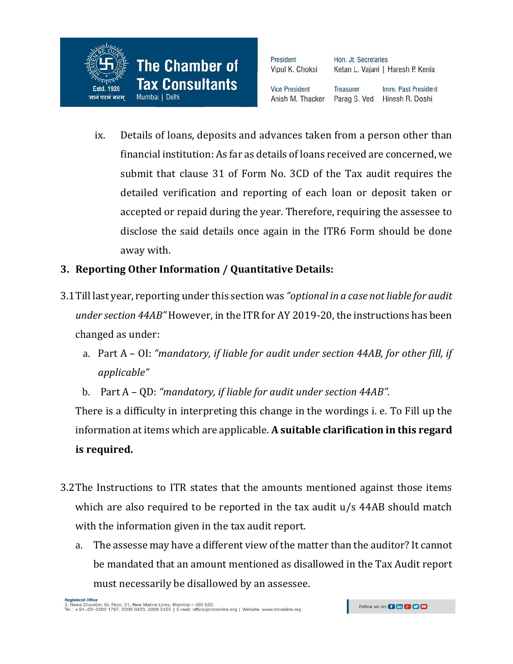

Hon. Jt. Secretaries Ketan L. Vajani | Haresh P. Kenia

**Vice President** Anish M. Thacker Treasurer Imm. Past President Hinesh R. Doshi Parag S. Ved

ix. Details of loans, deposits and advances taken from a person other than financial institution: As far as details of loans received are concerned, we submit that clause 31 of Form No. 3CD of the Tax audit requires the detailed verification and reporting of each loan or deposit taken or accepted or repaid during the year. Therefore, requiring the assessee to disclose the said details once again in the ITR6 Form should be done away with.

# **3. Reporting Other Information / Quantitative Details:**

- 3.1Till last year, reporting under this section was *"optional in a case not liable for audit under section 44AB"* However, in the ITR for AY 2019-20, the instructions has been changed as under:
	- a. Part A OI: *"mandatory, if liable for audit under section 44AB, for other fill, if applicable"*
	- b. Part A QD: *"mandatory, if liable for audit under section 44AB".*

There is a difficulty in interpreting this change in the wordings i. e. To Fill up the information at items which are applicable. **A suitable clarification in this regard is required.**

- 3.2The Instructions to ITR states that the amounts mentioned against those items which are also required to be reported in the tax audit u/s 44AB should match with the information given in the tax audit report.
	- a. The assesse may have a different view of the matter than the auditor? It cannot be mandated that an amount mentioned as disallowed in the Tax Audit report must necessarily be disallowed by an assessee.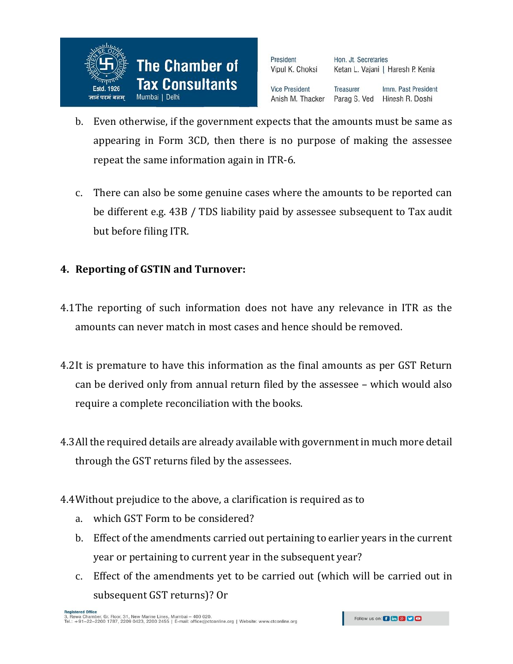

Hon. Jt. Secretaries Ketan L. Vajani | Haresh P. Kenia

**Vice President** Anish M. Thacker Treasurer Imm. Past President Parag S. Ved Hinesh R. Doshi

- b. Even otherwise, if the government expects that the amounts must be same as appearing in Form 3CD, then there is no purpose of making the assessee repeat the same information again in ITR-6.
- c. There can also be some genuine cases where the amounts to be reported can be different e.g. 43B / TDS liability paid by assessee subsequent to Tax audit but before filing ITR.

# **4. Reporting of GSTIN and Turnover:**

- 4.1The reporting of such information does not have any relevance in ITR as the amounts can never match in most cases and hence should be removed.
- 4.2It is premature to have this information as the final amounts as per GST Return can be derived only from annual return filed by the assessee – which would also require a complete reconciliation with the books.
- 4.3All the required details are already available with government in much more detail through the GST returns filed by the assessees.
- 4.4Without prejudice to the above, a clarification is required as to
	- a. which GST Form to be considered?
	- b. Effect of the amendments carried out pertaining to earlier years in the current year or pertaining to current year in the subsequent year?
	- c. Effect of the amendments yet to be carried out (which will be carried out in subsequent GST returns)? Or